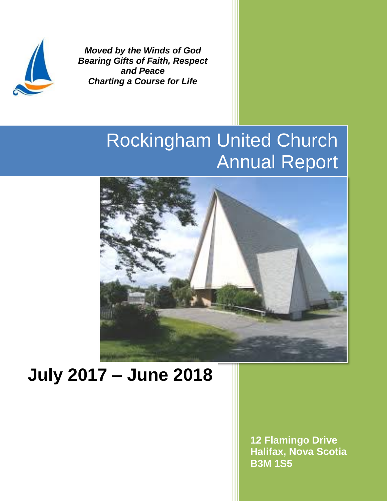

*Moved by the Winds of God Bearing Gifts of Faith, Respect and Peace Charting a Course for Life*

# Rockingham United Church Annual Report



# **July 2017 – June 2018**

**12 Flamingo Drive Halifax, Nova Scotia B3M 1S5**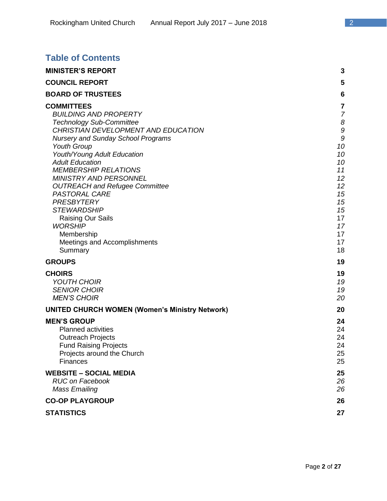# **Table of Contents**

| <b>MINISTER'S REPORT</b>                                                                                                                                                                                                                                                                                                                                                                                                                                                                                                                   | 3                                                                                                         |
|--------------------------------------------------------------------------------------------------------------------------------------------------------------------------------------------------------------------------------------------------------------------------------------------------------------------------------------------------------------------------------------------------------------------------------------------------------------------------------------------------------------------------------------------|-----------------------------------------------------------------------------------------------------------|
| <b>COUNCIL REPORT</b>                                                                                                                                                                                                                                                                                                                                                                                                                                                                                                                      | 5                                                                                                         |
| <b>BOARD OF TRUSTEES</b>                                                                                                                                                                                                                                                                                                                                                                                                                                                                                                                   | $6\phantom{1}6$                                                                                           |
| <b>COMMITTEES</b><br><b>BUILDING AND PROPERTY</b><br><b>Technology Sub-Committee</b><br>CHRISTIAN DEVELOPMENT AND EDUCATION<br><b>Nursery and Sunday School Programs</b><br><b>Youth Group</b><br>Youth/Young Adult Education<br><b>Adult Education</b><br><b>MEMBERSHIP RELATIONS</b><br><b>MINISTRY AND PERSONNEL</b><br><b>OUTREACH and Refugee Committee</b><br><b>PASTORAL CARE</b><br><b>PRESBYTERY</b><br><b>STEWARDSHIP</b><br><b>Raising Our Sails</b><br><b>WORSHIP</b><br>Membership<br>Meetings and Accomplishments<br>Summary | 7<br>7<br>8<br>9<br>9<br>10<br>10<br>10<br>11<br>12<br>12<br>15<br>15<br>15<br>17<br>17<br>17<br>17<br>18 |
| <b>GROUPS</b>                                                                                                                                                                                                                                                                                                                                                                                                                                                                                                                              | 19                                                                                                        |
| <b>CHOIRS</b><br><b>YOUTH CHOIR</b><br><b>SENIOR CHOIR</b><br><b>MEN'S CHOIR</b>                                                                                                                                                                                                                                                                                                                                                                                                                                                           | 19<br>19<br>19<br>20                                                                                      |
| <b>UNITED CHURCH WOMEN (Women's Ministry Network)</b>                                                                                                                                                                                                                                                                                                                                                                                                                                                                                      | 20                                                                                                        |
| <b>MEN'S GROUP</b><br><b>Planned activities</b><br><b>Outreach Projects</b><br><b>Fund Raising Projects</b><br>Projects around the Church<br>Finances                                                                                                                                                                                                                                                                                                                                                                                      | 24<br>24<br>24<br>24<br>25<br>25                                                                          |
| <b>WEBSITE – SOCIAL MEDIA</b><br><b>RUC on Facebook</b><br><b>Mass Emailing</b>                                                                                                                                                                                                                                                                                                                                                                                                                                                            | 25<br>26<br>26                                                                                            |
| <b>CO-OP PLAYGROUP</b>                                                                                                                                                                                                                                                                                                                                                                                                                                                                                                                     | 26                                                                                                        |
| <b>STATISTICS</b>                                                                                                                                                                                                                                                                                                                                                                                                                                                                                                                          | 27                                                                                                        |
|                                                                                                                                                                                                                                                                                                                                                                                                                                                                                                                                            |                                                                                                           |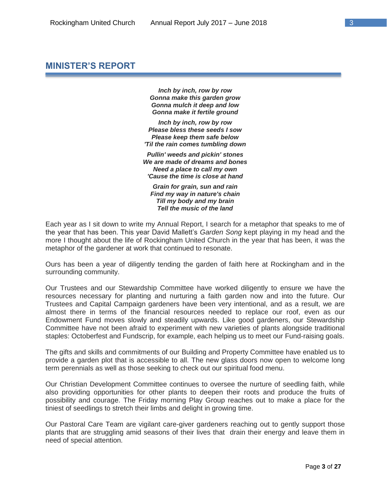# **MINISTER'S REPORT**

*Inch by inch, row by row Gonna make this garden grow Gonna mulch it deep and low Gonna make it fertile ground*

*Inch by inch, row by row Please bless these seeds I sow Please keep them safe below 'Til the rain comes tumbling down*

*Pullin' weeds and pickin' stones We are made of dreams and bones Need a place to call my own 'Cause the time is close at hand*

*Grain for grain, sun and rain Find my way in nature's chain Till my body and my brain Tell the music of the land*

Each year as I sit down to write my Annual Report, I search for a metaphor that speaks to me of the year that has been. This year David Mallett's *Garden Song* kept playing in my head and the more I thought about the life of Rockingham United Church in the year that has been, it was the metaphor of the gardener at work that continued to resonate.

Ours has been a year of diligently tending the garden of faith here at Rockingham and in the surrounding community.

Our Trustees and our Stewardship Committee have worked diligently to ensure we have the resources necessary for planting and nurturing a faith garden now and into the future. Our Trustees and Capital Campaign gardeners have been very intentional, and as a result, we are almost there in terms of the financial resources needed to replace our roof, even as our Endowment Fund moves slowly and steadily upwards. Like good gardeners, our Stewardship Committee have not been afraid to experiment with new varieties of plants alongside traditional staples: Octoberfest and Fundscrip, for example, each helping us to meet our Fund-raising goals.

The gifts and skills and commitments of our Building and Property Committee have enabled us to provide a garden plot that is accessible to all. The new glass doors now open to welcome long term perennials as well as those seeking to check out our spiritual food menu.

Our Christian Development Committee continues to oversee the nurture of seedling faith, while also providing opportunities for other plants to deepen their roots and produce the fruits of possibility and courage. The Friday morning Play Group reaches out to make a place for the tiniest of seedlings to stretch their limbs and delight in growing time.

Our Pastoral Care Team are vigilant care-giver gardeners reaching out to gently support those plants that are struggling amid seasons of their lives that drain their energy and leave them in need of special attention.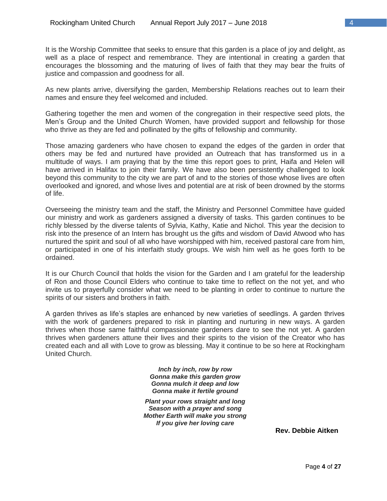It is the Worship Committee that seeks to ensure that this garden is a place of joy and delight, as well as a place of respect and remembrance. They are intentional in creating a garden that encourages the blossoming and the maturing of lives of faith that they may bear the fruits of justice and compassion and goodness for all.

As new plants arrive, diversifying the garden, Membership Relations reaches out to learn their names and ensure they feel welcomed and included.

Gathering together the men and women of the congregation in their respective seed plots, the Men's Group and the United Church Women, have provided support and fellowship for those who thrive as they are fed and pollinated by the gifts of fellowship and community.

Those amazing gardeners who have chosen to expand the edges of the garden in order that others may be fed and nurtured have provided an Outreach that has transformed us in a multitude of ways. I am praying that by the time this report goes to print, Haifa and Helen will have arrived in Halifax to join their family. We have also been persistently challenged to look beyond this community to the city we are part of and to the stories of those whose lives are often overlooked and ignored, and whose lives and potential are at risk of been drowned by the storms of life.

Overseeing the ministry team and the staff, the Ministry and Personnel Committee have guided our ministry and work as gardeners assigned a diversity of tasks. This garden continues to be richly blessed by the diverse talents of Sylvia, Kathy, Katie and Nichol. This year the decision to risk into the presence of an Intern has brought us the gifts and wisdom of David Atwood who has nurtured the spirit and soul of all who have worshipped with him, received pastoral care from him, or participated in one of his interfaith study groups. We wish him well as he goes forth to be ordained.

It is our Church Council that holds the vision for the Garden and I am grateful for the leadership of Ron and those Council Elders who continue to take time to reflect on the not yet, and who invite us to prayerfully consider what we need to be planting in order to continue to nurture the spirits of our sisters and brothers in faith.

A garden thrives as life's staples are enhanced by new varieties of seedlings. A garden thrives with the work of gardeners prepared to risk in planting and nurturing in new ways. A garden thrives when those same faithful compassionate gardeners dare to see the not yet. A garden thrives when gardeners attune their lives and their spirits to the vision of the Creator who has created each and all with Love to grow as blessing. May it continue to be so here at Rockingham United Church.

> *Inch by inch, row by row Gonna make this garden grow Gonna mulch it deep and low Gonna make it fertile ground*

*Plant your rows straight and long Season with a prayer and song Mother Earth will make you strong If you give her loving care*

**Rev. Debbie Aitken**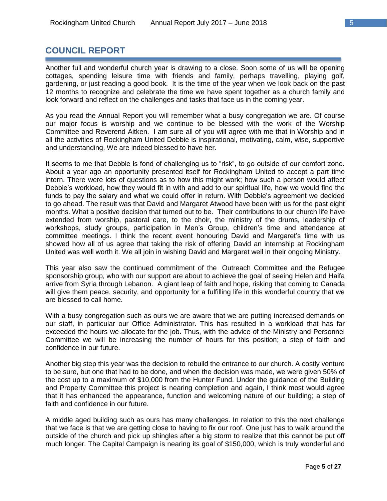# **COUNCIL REPORT**

Another full and wonderful church year is drawing to a close. Soon some of us will be opening cottages, spending leisure time with friends and family, perhaps travelling, playing golf, gardening, or just reading a good book. It is the time of the year when we look back on the past 12 months to recognize and celebrate the time we have spent together as a church family and look forward and reflect on the challenges and tasks that face us in the coming year.

As you read the Annual Report you will remember what a busy congregation we are. Of course our major focus is worship and we continue to be blessed with the work of the Worship Committee and Reverend Aitken. I am sure all of you will agree with me that in Worship and in all the activities of Rockingham United Debbie is inspirational, motivating, calm, wise, supportive and understanding. We are indeed blessed to have her.

It seems to me that Debbie is fond of challenging us to "risk", to go outside of our comfort zone. About a year ago an opportunity presented itself for Rockingham United to accept a part time intern. There were lots of questions as to how this might work; how such a person would affect Debbie's workload, how they would fit in with and add to our spiritual life, how we would find the funds to pay the salary and what we could offer in return. With Debbie's agreement we decided to go ahead. The result was that David and Margaret Atwood have been with us for the past eight months. What a positive decision that turned out to be. Their contributions to our church life have extended from worship, pastoral care, to the choir, the ministry of the drums, leadership of workshops, study groups, participation in Men's Group, children's time and attendance at committee meetings. I think the recent event honouring David and Margaret's time with us showed how all of us agree that taking the risk of offering David an internship at Rockingham United was well worth it. We all join in wishing David and Margaret well in their ongoing Ministry.

This year also saw the continued commitment of the Outreach Committee and the Refugee sponsorship group, who with our support are about to achieve the goal of seeing Helen and Haifa arrive from Syria through Lebanon. A giant leap of faith and hope, risking that coming to Canada will give them peace, security, and opportunity for a fulfilling life in this wonderful country that we are blessed to call home.

With a busy congregation such as ours we are aware that we are putting increased demands on our staff, in particular our Office Administrator. This has resulted in a workload that has far exceeded the hours we allocate for the job. Thus, with the advice of the Ministry and Personnel Committee we will be increasing the number of hours for this position; a step of faith and confidence in our future.

Another big step this year was the decision to rebuild the entrance to our church. A costly venture to be sure, but one that had to be done, and when the decision was made, we were given 50% of the cost up to a maximum of \$10,000 from the Hunter Fund. Under the guidance of the Building and Property Committee this project is nearing completion and again, I think most would agree that it has enhanced the appearance, function and welcoming nature of our building; a step of faith and confidence in our future.

A middle aged building such as ours has many challenges. In relation to this the next challenge that we face is that we are getting close to having to fix our roof. One just has to walk around the outside of the church and pick up shingles after a big storm to realize that this cannot be put off much longer. The Capital Campaign is nearing its goal of \$150,000, which is truly wonderful and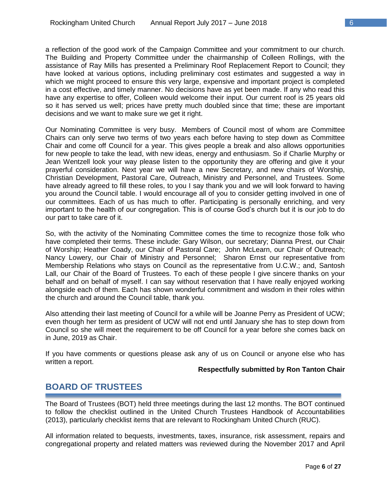a reflection of the good work of the Campaign Committee and your commitment to our church. The Building and Property Committee under the chairmanship of Colleen Rollings, with the assistance of Ray Mills has presented a Preliminary Roof Replacement Report to Council; they have looked at various options, including preliminary cost estimates and suggested a way in which we might proceed to ensure this very large, expensive and important project is completed in a cost effective, and timely manner. No decisions have as yet been made. If any who read this have any expertise to offer, Colleen would welcome their input. Our current roof is 25 years old so it has served us well; prices have pretty much doubled since that time; these are important decisions and we want to make sure we get it right.

Our Nominating Committee is very busy. Members of Council most of whom are Committee Chairs can only serve two terms of two years each before having to step down as Committee Chair and come off Council for a year. This gives people a break and also allows opportunities for new people to take the lead, with new ideas, energy and enthusiasm. So if Charlie Murphy or Jean Wentzell look your way please listen to the opportunity they are offering and give it your prayerful consideration. Next year we will have a new Secretary, and new chairs of Worship, Christian Development, Pastoral Care, Outreach, Ministry and Personnel, and Trustees. Some have already agreed to fill these roles, to you I say thank you and we will look forward to having you around the Council table. I would encourage all of you to consider getting involved in one of our committees. Each of us has much to offer. Participating is personally enriching, and very important to the health of our congregation. This is of course God's church but it is our job to do our part to take care of it.

So, with the activity of the Nominating Committee comes the time to recognize those folk who have completed their terms. These include: Gary Wilson, our secretary; Dianna Prest, our Chair of Worship; Heather Coady, our Chair of Pastoral Care; John McLearn, our Chair of Outreach; Nancy Lowery, our Chair of Ministry and Personnel; Sharon Ernst our representative from Membership Relations who stays on Council as the representative from U.C.W.; and, Santosh Lall, our Chair of the Board of Trustees. To each of these people I give sincere thanks on your behalf and on behalf of myself. I can say without reservation that I have really enjoyed working alongside each of them. Each has shown wonderful commitment and wisdom in their roles within the church and around the Council table, thank you.

Also attending their last meeting of Council for a while will be Joanne Perry as President of UCW; even though her term as president of UCW will not end until January she has to step down from Council so she will meet the requirement to be off Council for a year before she comes back on in June, 2019 as Chair.

If you have comments or questions please ask any of us on Council or anyone else who has written a report.

#### **Respectfully submitted by Ron Tanton Chair**

# **BOARD OF TRUSTEES**

The Board of Trustees (BOT) held three meetings during the last 12 months. The BOT continued to follow the checklist outlined in the United Church Trustees Handbook of Accountabilities (2013), particularly checklist items that are relevant to Rockingham United Church (RUC).

All information related to bequests, investments, taxes, insurance, risk assessment, repairs and congregational property and related matters was reviewed during the November 2017 and April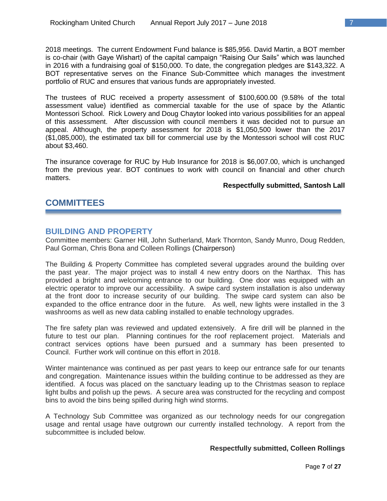2018 meetings. The current Endowment Fund balance is \$85,956. David Martin, a BOT member is co-chair (with Gaye Wishart) of the capital campaign "Raising Our Sails" which was launched in 2016 with a fundraising goal of \$150,000. To date, the congregation pledges are \$143,322. A BOT representative serves on the Finance Sub-Committee which manages the investment portfolio of RUC and ensures that various funds are appropriately invested.

The trustees of RUC received a property assessment of \$100,600.00 (9.58% of the total assessment value) identified as commercial taxable for the use of space by the Atlantic Montessori School. Rick Lowery and Doug Chaytor looked into various possibilities for an appeal of this assessment. After discussion with council members it was decided not to pursue an appeal. Although, the property assessment for 2018 is \$1,050,500 lower than the 2017 (\$1,085,000), the estimated tax bill for commercial use by the Montessori school will cost RUC about \$3,460.

The insurance coverage for RUC by Hub Insurance for 2018 is \$6,007.00, which is unchanged from the previous year. BOT continues to work with council on financial and other church matters.

#### **Respectfully submitted, Santosh Lall**

# **COMMITTEES**

## **BUILDING AND PROPERTY**

Committee members: Garner Hill, John Sutherland, Mark Thornton, Sandy Munro, Doug Redden, Paul Gorman, Chris Bona and Colleen Rollings (Chairperson)

The Building & Property Committee has completed several upgrades around the building over the past year. The major project was to install 4 new entry doors on the Narthax. This has provided a bright and welcoming entrance to our building. One door was equipped with an electric operator to improve our accessibility. A swipe card system installation is also underway at the front door to increase security of our building. The swipe card system can also be expanded to the office entrance door in the future. As well, new lights were installed in the 3 washrooms as well as new data cabling installed to enable technology upgrades.

The fire safety plan was reviewed and updated extensively. A fire drill will be planned in the future to test our plan. Planning continues for the roof replacement project. Materials and contract services options have been pursued and a summary has been presented to Council. Further work will continue on this effort in 2018.

Winter maintenance was continued as per past years to keep our entrance safe for our tenants and congregation. Maintenance issues within the building continue to be addressed as they are identified. A focus was placed on the sanctuary leading up to the Christmas season to replace light bulbs and polish up the pews. A secure area was constructed for the recycling and compost bins to avoid the bins being spilled during high wind storms.

A Technology Sub Committee was organized as our technology needs for our congregation usage and rental usage have outgrown our currently installed technology. A report from the subcommittee is included below.

## **Respectfully submitted, Colleen Rollings**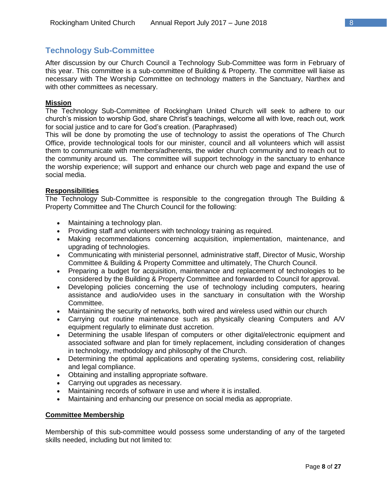# **Technology Sub-Committee**

After discussion by our Church Council a Technology Sub-Committee was form in February of this year. This committee is a sub-committee of Building & Property. The committee will liaise as necessary with The Worship Committee on technology matters in the Sanctuary, Narthex and with other committees as necessary.

#### **Mission**

The Technology Sub-Committee of Rockingham United Church will seek to adhere to our church's mission to worship God, share Christ's teachings, welcome all with love, reach out, work for social justice and to care for God's creation. (Paraphrased)

This will be done by promoting the use of technology to assist the operations of The Church Office, provide technological tools for our minister, council and all volunteers which will assist them to communicate with members/adherents, the wider church community and to reach out to the community around us. The committee will support technology in the sanctuary to enhance the worship experience; will support and enhance our church web page and expand the use of social media.

#### **Responsibilities**

The Technology Sub-Committee is responsible to the congregation through The Building & Property Committee and The Church Council for the following:

- Maintaining a technology plan.
- Providing staff and volunteers with technology training as required.
- Making recommendations concerning acquisition, implementation, maintenance, and upgrading of technologies.
- Communicating with ministerial personnel, administrative staff, Director of Music, Worship Committee & Building & Property Committee and ultimately, The Church Council.
- Preparing a budget for acquisition, maintenance and replacement of technologies to be considered by the Building & Property Committee and forwarded to Council for approval.
- Developing policies concerning the use of technology including computers, hearing assistance and audio/video uses in the sanctuary in consultation with the Worship Committee.
- Maintaining the security of networks, both wired and wireless used within our church
- Carrying out routine maintenance such as physically cleaning Computers and A/V equipment regularly to eliminate dust accretion.
- Determining the usable lifespan of computers or other digital/electronic equipment and associated software and plan for timely replacement, including consideration of changes in technology, methodology and philosophy of the Church.
- Determining the optimal applications and operating systems, considering cost, reliability and legal compliance.
- Obtaining and installing appropriate software.
- Carrying out upgrades as necessary.
- Maintaining records of software in use and where it is installed.
- Maintaining and enhancing our presence on social media as appropriate.

#### **Committee Membership**

Membership of this sub-committee would possess some understanding of any of the targeted skills needed, including but not limited to: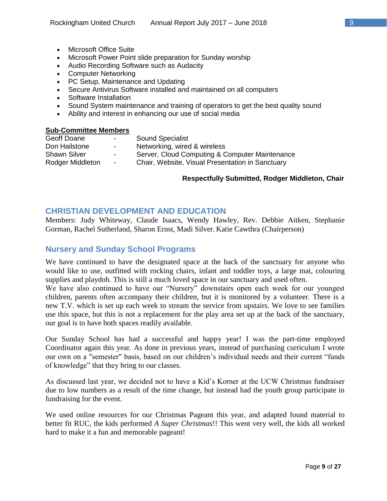- Microsoft Office Suite
- Microsoft Power Point slide preparation for Sunday worship
- Audio Recording Software such as Audacity
- Computer Networking
- PC Setup, Maintenance and Updating
- Secure Antivirus Software installed and maintained on all computers
- Software Installation
- Sound System maintenance and training of operators to get the best quality sound
- Ability and interest in enhancing our use of social media

#### **Sub-Committee Members**

| Geoff Doane         | -      | <b>Sound Specialist</b>                          |
|---------------------|--------|--------------------------------------------------|
| Don Hailstone       | $\sim$ | Networking, wired & wireless                     |
| <b>Shawn Silver</b> | $\sim$ | Server, Cloud Computing & Computer Maintenance   |
| Rodger Middleton    | $\sim$ | Chair, Website, Visual Presentation in Sanctuary |

## **Respectfully Submitted, Rodger Middleton, Chair**

# **CHRISTIAN DEVELOPMENT AND EDUCATION**

Members: Judy Whiteway, Claude Isaacs, Wendy Hawley, Rev. Debbie Aitken, Stephanie Gorman, Rachel Sutherland, Sharon Ernst, Madi Silver, Katie Cawthra (Chairperson)

# **Nursery and Sunday School Programs**

We have continued to have the designated space at the back of the sanctuary for anyone who would like to use, outfitted with rocking chairs, infant and toddler toys, a large mat, colouring supplies and playdoh. This is still a much loved space in our sanctuary and used often.

We have also continued to have our "Nursery" downstairs open each week for our youngest children, parents often accompany their children, but it is monitored by a volunteer. There is a new T.V. which is set up each week to stream the service from upstairs. We love to see families use this space, but this is not a replacement for the play area set up at the back of the sanctuary, our goal is to have both spaces readily available.

Our Sunday School has had a successful and happy year! I was the part-time employed Coordinator again this year. As done in previous years, instead of purchasing curriculum I wrote our own on a "semester" basis, based on our children's individual needs and their current "funds of knowledge" that they bring to our classes.

As discussed last year, we decided not to have a Kid's Korner at the UCW Christmas fundraiser due to low numbers as a result of the time change, but instead had the youth group participate in fundraising for the event.

We used online resources for our Christmas Pageant this year, and adapted found material to better fit RUC, the kids performed *A Super Christmas*!! This went very well, the kids all worked hard to make it a fun and memorable pageant!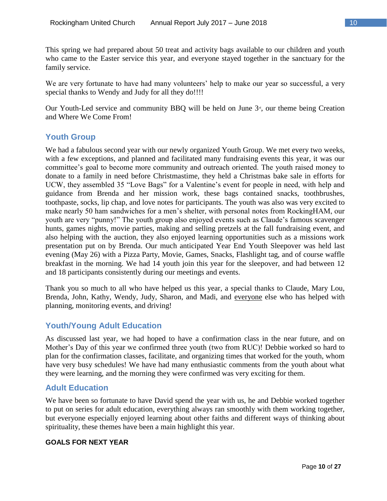This spring we had prepared about 50 treat and activity bags available to our children and youth who came to the Easter service this year, and everyone stayed together in the sanctuary for the family service.

We are very fortunate to have had many volunteers' help to make our year so successful, a very special thanks to Wendy and Judy for all they do!!!!

Our Youth-Led service and community BBQ will be held on June  $3<sup>d</sup>$ , our theme being Creation and Where We Come From!

# **Youth Group**

We had a fabulous second year with our newly organized Youth Group. We met every two weeks, with a few exceptions, and planned and facilitated many fundraising events this year, it was our committee's goal to become more community and outreach oriented. The youth raised money to donate to a family in need before Christmastime, they held a Christmas bake sale in efforts for UCW, they assembled 35 "Love Bags" for a Valentine's event for people in need, with help and guidance from Brenda and her mission work, these bags contained snacks, toothbrushes, toothpaste, socks, lip chap, and love notes for participants. The youth was also was very excited to make nearly 50 ham sandwiches for a men's shelter, with personal notes from RockingHAM, our youth are very "punny!" The youth group also enjoyed events such as Claude's famous scavenger hunts, games nights, movie parties, making and selling pretzels at the fall fundraising event, and also helping with the auction, they also enjoyed learning opportunities such as a missions work presentation put on by Brenda. Our much anticipated Year End Youth Sleepover was held last evening (May 26) with a Pizza Party, Movie, Games, Snacks, Flashlight tag, and of course waffle breakfast in the morning. We had 14 youth join this year for the sleepover, and had between 12 and 18 participants consistently during our meetings and events.

Thank you so much to all who have helped us this year, a special thanks to Claude, Mary Lou, Brenda, John, Kathy, Wendy, Judy, Sharon, and Madi, and everyone else who has helped with planning, monitoring events, and driving!

# **Youth/Young Adult Education**

As discussed last year, we had hoped to have a confirmation class in the near future, and on Mother's Day of this year we confirmed three youth (two from RUC)! Debbie worked so hard to plan for the confirmation classes, facilitate, and organizing times that worked for the youth, whom have very busy schedules! We have had many enthusiastic comments from the youth about what they were learning, and the morning they were confirmed was very exciting for them.

# **Adult Education**

We have been so fortunate to have David spend the year with us, he and Debbie worked together to put on series for adult education, everything always ran smoothly with them working together, but everyone especially enjoyed learning about other faiths and different ways of thinking about spirituality, these themes have been a main highlight this year.

# **GOALS FOR NEXT YEAR**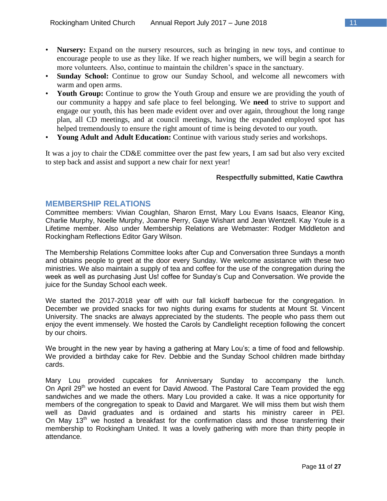- **Nursery:** Expand on the nursery resources, such as bringing in new toys, and continue to encourage people to use as they like. If we reach higher numbers, we will begin a search for more volunteers. Also, continue to maintain the children's space in the sanctuary.
- **Sunday School:** Continue to grow our Sunday School, and welcome all newcomers with warm and open arms.
- Youth Group: Continue to grow the Youth Group and ensure we are providing the youth of our community a happy and safe place to feel belonging. We **need** to strive to support and engage our youth, this has been made evident over and over again, throughout the long range plan, all CD meetings, and at council meetings, having the expanded employed spot has helped tremendously to ensure the right amount of time is being devoted to our youth.
- **Young Adult and Adult Education:** Continue with various study series and workshops.

It was a joy to chair the CD&E committee over the past few years, I am sad but also very excited to step back and assist and support a new chair for next year!

#### **Respectfully submitted, Katie Cawthra**

## **MEMBERSHIP RELATIONS**

Committee members: Vivian Coughlan, Sharon Ernst, Mary Lou Evans Isaacs, Eleanor King, Charlie Murphy, Noelle Murphy, Joanne Perry, Gaye Wishart and Jean Wentzell. Kay Youle is a Lifetime member. Also under Membership Relations are Webmaster: Rodger Middleton and Rockingham Reflections Editor Gary Wilson.

The Membership Relations Committee looks after Cup and Conversation three Sundays a month and obtains people to greet at the door every Sunday. We welcome assistance with these two ministries. We also maintain a supply of tea and coffee for the use of the congregation during the week as well as purchasing Just Us! coffee for Sunday's Cup and Conversation. We provide the juice for the Sunday School each week.

We started the 2017-2018 year off with our fall kickoff barbecue for the congregation. In December we provided snacks for two nights during exams for students at Mount St. Vincent University. The snacks are always appreciated by the students. The people who pass them out enjoy the event immensely. We hosted the Carols by Candlelight reception following the concert by our choirs.

We brought in the new year by having a gathering at Mary Lou's; a time of food and fellowship. We provided a birthday cake for Rev. Debbie and the Sunday School children made birthday cards.

Mary Lou provided cupcakes for Anniversary Sunday to accompany the lunch. On April 29<sup>th</sup> we hosted an event for David Atwood. The Pastoral Care Team provided the egg sandwiches and we made the others. Mary Lou provided a cake. It was a nice opportunity for members of the congregation to speak to David and Margaret. We will miss them but wish them well as David graduates and is ordained and starts his ministry career in PEI. On May  $13<sup>th</sup>$  we hosted a breakfast for the confirmation class and those transferring their membership to Rockingham United. It was a lovely gathering with more than thirty people in attendance.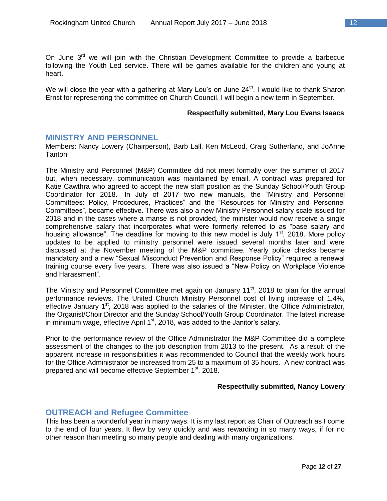On June  $3<sup>rd</sup>$  we will join with the Christian Development Committee to provide a barbecue following the Youth Led service. There will be games available for the children and young at heart.

We will close the year with a gathering at Mary Lou's on June  $24<sup>th</sup>$ . I would like to thank Sharon Ernst for representing the committee on Church Council. I will begin a new term in September.

#### **Respectfully submitted, Mary Lou Evans Isaacs**

## **MINISTRY AND PERSONNEL**

Members: Nancy Lowery (Chairperson), Barb Lall, Ken McLeod, Craig Sutherland, and JoAnne **Tanton** 

The Ministry and Personnel (M&P) Committee did not meet formally over the summer of 2017 but, when necessary, communication was maintained by email. A contract was prepared for Katie Cawthra who agreed to accept the new staff position as the Sunday School/Youth Group Coordinator for 2018. In July of 2017 two new manuals, the "Ministry and Personnel Committees: Policy, Procedures, Practices" and the "Resources for Ministry and Personnel Committees", became effective. There was also a new Ministry Personnel salary scale issued for 2018 and in the cases where a manse is not provided, the minister would now receive a single comprehensive salary that incorporates what were formerly referred to as "base salary and housing allowance". The deadline for moving to this new model is July  $1<sup>st</sup>$ , 2018. More policy updates to be applied to ministry personnel were issued several months later and were discussed at the November meeting of the M&P committee. Yearly police checks became mandatory and a new "Sexual Misconduct Prevention and Response Policy" required a renewal training course every five years. There was also issued a "New Policy on Workplace Violence and Harassment".

The Ministry and Personnel Committee met again on January 11<sup>th</sup>, 2018 to plan for the annual performance reviews. The United Church Ministry Personnel cost of living increase of 1.4%, effective January 1<sup>st</sup>, 2018 was applied to the salaries of the Minister, the Office Administrator, the Organist/Choir Director and the Sunday School/Youth Group Coordinator. The latest increase in minimum wage, effective April  $1<sup>st</sup>$ , 2018, was added to the Janitor's salary.

Prior to the performance review of the Office Administrator the M&P Committee did a complete assessment of the changes to the job description from 2013 to the present. As a result of the apparent increase in responsibilities it was recommended to Council that the weekly work hours for the Office Administrator be increased from 25 to a maximum of 35 hours. A new contract was prepared and will become effective September 1<sup>st</sup>, 2018.

#### **Respectfully submitted, Nancy Lowery**

# **OUTREACH and Refugee Committee**

This has been a wonderful year in many ways. It is my last report as Chair of Outreach as I come to the end of four years. It flew by very quickly and was rewarding in so many ways, if for no other reason than meeting so many people and dealing with many organizations.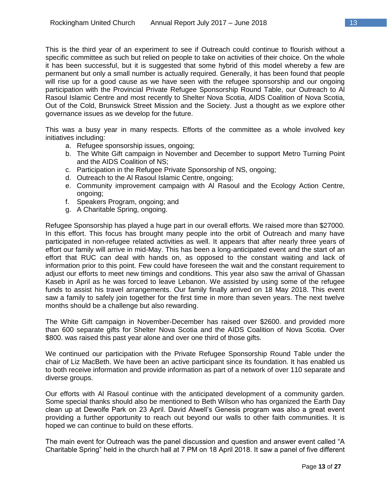This is the third year of an experiment to see if Outreach could continue to flourish without a specific committee as such but relied on people to take on activities of their choice. On the whole it has been successful, but it is suggested that some hybrid of this model whereby a few are permanent but only a small number is actually required. Generally, it has been found that people will rise up for a good cause as we have seen with the refugee sponsorship and our ongoing participation with the Provincial Private Refugee Sponsorship Round Table, our Outreach to Al Rasoul Islamic Centre and most recently to Shelter Nova Scotia, AIDS Coalition of Nova Scotia, Out of the Cold, Brunswick Street Mission and the Society. Just a thought as we explore other governance issues as we develop for the future.

This was a busy year in many respects. Efforts of the committee as a whole involved key initiatives including:

- a. Refugee sponsorship issues, ongoing;
- b. The White Gift campaign in November and December to support Metro Turning Point and the AIDS Coalition of NS;
- c. Participation in the Refugee Private Sponsorship of NS, ongoing;
- d. Outreach to the Al Rasoul Islamic Centre, ongoing;
- e. Community improvement campaign with Al Rasoul and the Ecology Action Centre, ongoing;
- f. Speakers Program, ongoing; and
- g. A Charitable Spring, ongoing.

Refugee Sponsorship has played a huge part in our overall efforts. We raised more than \$27000. In this effort. This focus has brought many people into the orbit of Outreach and many have participated in non-refugee related activities as well. It appears that after nearly three years of effort our family will arrive in mid-May. This has been a long-anticipated event and the start of an effort that RUC can deal with hands on, as opposed to the constant waiting and lack of information prior to this point. Few could have foreseen the wait and the constant requirement to adjust our efforts to meet new timings and conditions. This year also saw the arrival of Ghassan Kaseb in April as he was forced to leave Lebanon. We assisted by using some of the refugee funds to assist his travel arrangements. Our family finally arrived on 18 May 2018. This event saw a family to safely join together for the first time in more than seven years. The next twelve months should be a challenge but also rewarding.

The White Gift campaign in November-December has raised over \$2600. and provided more than 600 separate gifts for Shelter Nova Scotia and the AIDS Coalition of Nova Scotia. Over \$800. was raised this past year alone and over one third of those gifts.

We continued our participation with the Private Refugee Sponsorship Round Table under the chair of Liz MacBeth. We have been an active participant since its foundation. It has enabled us to both receive information and provide information as part of a network of over 110 separate and diverse groups.

Our efforts with Al Rasoul continue with the anticipated development of a community garden. Some special thanks should also be mentioned to Beth Wilson who has organized the Earth Day clean up at Dewolfe Park on 23 April. David Atwell's Genesis program was also a great event providing a further opportunity to reach out beyond our walls to other faith communities. It is hoped we can continue to build on these efforts.

The main event for Outreach was the panel discussion and question and answer event called "A Charitable Spring" held in the church hall at 7 PM on 18 April 2018. It saw a panel of five different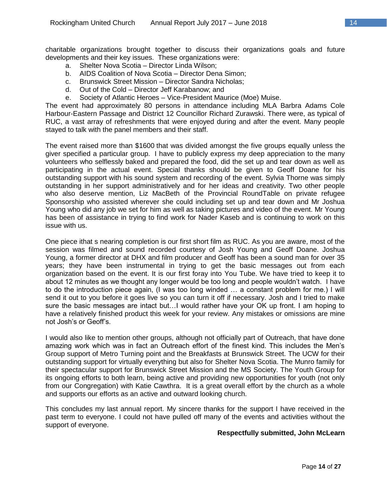charitable organizations brought together to discuss their organizations goals and future developments and their key issues. These organizations were:

- a. Shelter Nova Scotia Director Linda Wilson;
- b. AIDS Coalition of Nova Scotia Director Dena Simon;
- c. Brunswick Street Mission Director Sandra Nicholas;
- d. Out of the Cold Director Jeff Karabanow; and
- e. Society of Atlantic Heroes Vice-President Maurice (Moe) Muise.

The event had approximately 80 persons in attendance including MLA Barbra Adams Cole Harbour-Eastern Passage and District 12 Councillor Richard Zurawski. There were, as typical of RUC, a vast array of refreshments that were enjoyed during and after the event. Many people stayed to talk with the panel members and their staff.

The event raised more than \$1600 that was divided amongst the five groups equally unless the giver specified a particular group. I have to publicly express my deep appreciation to the many volunteers who selflessly baked and prepared the food, did the set up and tear down as well as participating in the actual event. Special thanks should be given to Geoff Doane for his outstanding support with his sound system and recording of the event. Sylvia Thorne was simply outstanding in her support administratively and for her ideas and creativity. Two other people who also deserve mention, Liz MacBeth of the Provincial RoundTable on private refugee Sponsorship who assisted wherever she could including set up and tear down and Mr Joshua Young who did any job we set for him as well as taking pictures and video of the event. Mr Young has been of assistance in trying to find work for Nader Kaseb and is continuing to work on this issue with us.

One piece ithat s nearing completion is our first short film as RUC. As you are aware, most of the session was filmed and sound recorded courtesy of Josh Young and Geoff Doane. Joshua Young, a former director at DHX and film producer and Geoff has been a sound man for over 35 years; they have been instrumental in trying to get the basic messages out from each organization based on the event. It is our first foray into You Tube. We have tried to keep it to about 12 minutes as we thought any longer would be too long and people wouldn't watch. I have to do the introduction piece again, (I was too long winded … a constant problem for me.) I will send it out to you before it goes live so you can turn it off if necessary. Josh and I tried to make sure the basic messages are intact but…I would rather have your OK up front. I am hoping to have a relatively finished product this week for your review. Any mistakes or omissions are mine not Josh's or Geoff's.

I would also like to mention other groups, although not officially part of Outreach, that have done amazing work which was in fact an Outreach effort of the finest kind. This includes the Men's Group support of Metro Turning point and the Breakfasts at Brunswick Street. The UCW for their outstanding support for virtually everything but also for Shelter Nova Scotia. The Munro family for their spectacular support for Brunswick Street Mission and the MS Society. The Youth Group for its ongoing efforts to both learn, being active and providing new opportunities for youth (not only from our Congregation) with Katie Cawthra. It is a great overall effort by the church as a whole and supports our efforts as an active and outward looking church.

This concludes my last annual report. My sincere thanks for the support I have received in the past term to everyone. I could not have pulled off many of the events and activities without the support of everyone.

#### **Respectfully submitted, John McLearn**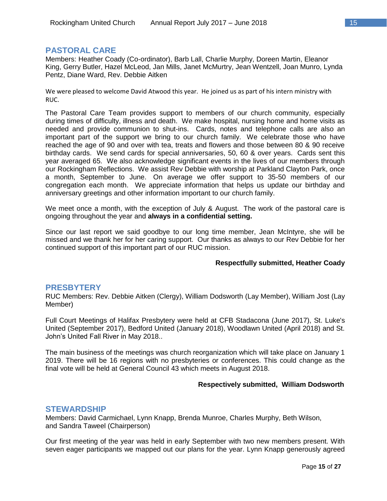# **PASTORAL CARE**

Members: Heather Coady (Co-ordinator), Barb Lall, Charlie Murphy, Doreen Martin, Eleanor King, Gerry Butler, Hazel McLeod, Jan Mills, Janet McMurtry, Jean Wentzell, Joan Munro, Lynda Pentz, Diane Ward, Rev. Debbie Aitken

We were pleased to welcome David Atwood this year. He joined us as part of his intern ministry with RUC.

The Pastoral Care Team provides support to members of our church community, especially during times of difficulty, illness and death. We make hospital, nursing home and home visits as needed and provide communion to shut-ins. Cards, notes and telephone calls are also an important part of the support we bring to our church family. We celebrate those who have reached the age of 90 and over with tea, treats and flowers and those between 80 & 90 receive birthday cards. We send cards for special anniversaries, 50, 60 & over years. Cards sent this year averaged 65. We also acknowledge significant events in the lives of our members through our Rockingham Reflections. We assist Rev Debbie with worship at Parkland Clayton Park, once a month, September to June. On average we offer support to 35-50 members of our congregation each month. We appreciate information that helps us update our birthday and anniversary greetings and other information important to our church family.

We meet once a month, with the exception of July & August. The work of the pastoral care is ongoing throughout the year and **always in a confidential setting.**

Since our last report we said goodbye to our long time member, Jean McIntyre, she will be missed and we thank her for her caring support. Our thanks as always to our Rev Debbie for her continued support of this important part of our RUC mission.

#### **Respectfully submitted, Heather Coady**

# **PRESBYTERY**

RUC Members: Rev. Debbie Aitken (Clergy), William Dodsworth (Lay Member), William Jost (Lay Member)

Full Court Meetings of Halifax Presbytery were held at CFB Stadacona (June 2017), St. Luke's United (September 2017), Bedford United (January 2018), Woodlawn United (April 2018) and St. John's United Fall River in May 2018..

The main business of the meetings was church reorganization which will take place on January 1 2019. There will be 16 regions with no presbyteries or conferences. This could change as the final vote will be held at General Council 43 which meets in August 2018.

#### **Respectively submitted, William Dodsworth**

#### **STEWARDSHIP**

Members: David Carmichael, Lynn Knapp, Brenda Munroe, Charles Murphy, Beth Wilson, and Sandra Taweel (Chairperson)

Our first meeting of the year was held in early September with two new members present. With seven eager participants we mapped out our plans for the year. Lynn Knapp generously agreed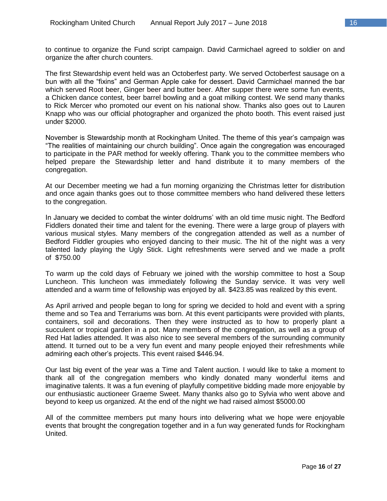to continue to organize the Fund script campaign. David Carmichael agreed to soldier on and organize the after church counters.

The first Stewardship event held was an Octoberfest party. We served Octoberfest sausage on a bun with all the "fixins" and German Apple cake for dessert. David Carmichael manned the bar which served Root beer, Ginger beer and butter beer. After supper there were some fun events, a Chicken dance contest, beer barrel bowling and a goat milking contest. We send many thanks to Rick Mercer who promoted our event on his national show. Thanks also goes out to Lauren Knapp who was our official photographer and organized the photo booth. This event raised just under \$2000.

November is Stewardship month at Rockingham United. The theme of this year's campaign was "The realities of maintaining our church building". Once again the congregation was encouraged to participate in the PAR method for weekly offering. Thank you to the committee members who helped prepare the Stewardship letter and hand distribute it to many members of the congregation.

At our December meeting we had a fun morning organizing the Christmas letter for distribution and once again thanks goes out to those committee members who hand delivered these letters to the congregation.

In January we decided to combat the winter doldrums' with an old time music night. The Bedford Fiddlers donated their time and talent for the evening. There were a large group of players with various musical styles. Many members of the congregation attended as well as a number of Bedford Fiddler groupies who enjoyed dancing to their music. The hit of the night was a very talented lady playing the Ugly Stick. Light refreshments were served and we made a profit of \$750.00

To warm up the cold days of February we joined with the worship committee to host a Soup Luncheon. This luncheon was immediately following the Sunday service. It was very well attended and a warm time of fellowship was enjoyed by all. \$423.85 was realized by this event.

As April arrived and people began to long for spring we decided to hold and event with a spring theme and so Tea and Terrariums was born. At this event participants were provided with plants, containers, soil and decorations. Then they were instructed as to how to properly plant a succulent or tropical garden in a pot. Many members of the congregation, as well as a group of Red Hat ladies attended. It was also nice to see several members of the surrounding community attend. It turned out to be a very fun event and many people enjoyed their refreshments while admiring each other's projects. This event raised \$446.94.

Our last big event of the year was a Time and Talent auction. I would like to take a moment to thank all of the congregation members who kindly donated many wonderful items and imaginative talents. It was a fun evening of playfully competitive bidding made more enjoyable by our enthusiastic auctioneer Graeme Sweet. Many thanks also go to Sylvia who went above and beyond to keep us organized. At the end of the night we had raised almost \$5000.00

All of the committee members put many hours into delivering what we hope were enjoyable events that brought the congregation together and in a fun way generated funds for Rockingham United.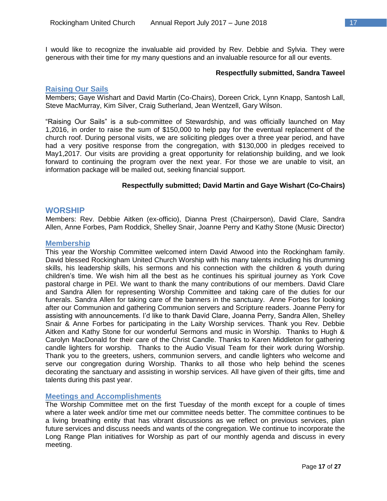I would like to recognize the invaluable aid provided by Rev. Debbie and Sylvia. They were generous with their time for my many questions and an invaluable resource for all our events.

#### **Respectfully submitted, Sandra Taweel**

## **Raising Our Sails**

Members; Gaye Wishart and David Martin (Co-Chairs), Doreen Crick, Lynn Knapp, Santosh Lall, Steve MacMurray, Kim Silver, Craig Sutherland, Jean Wentzell, Gary Wilson.

"Raising Our Sails" is a sub-committee of Stewardship, and was officially launched on May 1,2016, in order to raise the sum of \$150,000 to help pay for the eventual replacement of the church roof. During personal visits, we are soliciting pledges over a three year period, and have had a very positive response from the congregation, with \$130,000 in pledges received to May1,2017. Our visits are providing a great opportunity for relationship building, and we look forward to continuing the program over the next year. For those we are unable to visit, an information package will be mailed out, seeking financial support.

#### **Respectfully submitted; David Martin and Gaye Wishart (Co-Chairs)**

#### **WORSHIP**

Members: Rev. Debbie Aitken (ex-officio), Dianna Prest (Chairperson), David Clare, Sandra Allen, Anne Forbes, Pam Roddick, Shelley Snair, Joanne Perry and Kathy Stone (Music Director)

#### **Membership**

This year the Worship Committee welcomed intern David Atwood into the Rockingham family. David blessed Rockingham United Church Worship with his many talents including his drumming skills, his leadership skills, his sermons and his connection with the children & youth during children's time. We wish him all the best as he continues his spiritual journey as York Cove pastoral charge in PEI. We want to thank the many contributions of our members. David Clare and Sandra Allen for representing Worship Committee and taking care of the duties for our funerals. Sandra Allen for taking care of the banners in the sanctuary. Anne Forbes for looking after our Communion and gathering Communion servers and Scripture readers. Joanne Perry for assisting with announcements. I'd like to thank David Clare, Joanna Perry, Sandra Allen, Shelley Snair & Anne Forbes for participating in the Laity Worship services. Thank you Rev. Debbie Aitken and Kathy Stone for our wonderful Sermons and music in Worship. Thanks to Hugh & Carolyn MacDonald for their care of the Christ Candle. Thanks to Karen Middleton for gathering candle lighters for worship. Thanks to the Audio Visual Team for their work during Worship. Thank you to the greeters, ushers, communion servers, and candle lighters who welcome and serve our congregation during Worship. Thanks to all those who help behind the scenes decorating the sanctuary and assisting in worship services. All have given of their gifts, time and talents during this past year.

# **Meetings and Accomplishments**

The Worship Committee met on the first Tuesday of the month except for a couple of times where a later week and/or time met our committee needs better. The committee continues to be a living breathing entity that has vibrant discussions as we reflect on previous services, plan future services and discuss needs and wants of the congregation. We continue to incorporate the Long Range Plan initiatives for Worship as part of our monthly agenda and discuss in every meeting.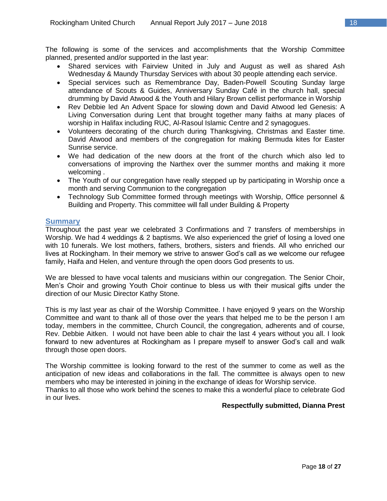The following is some of the services and accomplishments that the Worship Committee planned, presented and/or supported in the last year:

- Shared services with Fairview United in July and August as well as shared Ash Wednesday & Maundy Thursday Services with about 30 people attending each service.
- Special services such as Remembrance Day, Baden-Powell Scouting Sunday large attendance of Scouts & Guides, Anniversary Sunday Café in the church hall, special drumming by David Atwood & the Youth and Hilary Brown cellist performance in Worship
- Rev Debbie led An Advent Space for slowing down and David Atwood led Genesis: A Living Conversation during Lent that brought together many faiths at many places of worship in Halifax including RUC, Al-Rasoul Islamic Centre and 2 synagogues.
- Volunteers decorating of the church during Thanksgiving, Christmas and Easter time. David Atwood and members of the congregation for making Bermuda kites for Easter Sunrise service.
- We had dedication of the new doors at the front of the church which also led to conversations of improving the Narthex over the summer months and making it more welcoming .
- The Youth of our congregation have really stepped up by participating in Worship once a month and serving Communion to the congregation
- Technology Sub Committee formed through meetings with Worship, Office personnel & Building and Property. This committee will fall under Building & Property

## **Summary**

Throughout the past year we celebrated 3 Confirmations and 7 transfers of memberships in Worship. We had 4 weddings & 2 baptisms. We also experienced the grief of losing a loved one with 10 funerals. We lost mothers, fathers, brothers, sisters and friends. All who enriched our lives at Rockingham. In their memory we strive to answer God's call as we welcome our refugee family, Haifa and Helen, and venture through the open doors God presents to us.

We are blessed to have vocal talents and musicians within our congregation. The Senior Choir, Men's Choir and growing Youth Choir continue to bless us with their musical gifts under the direction of our Music Director Kathy Stone.

This is my last year as chair of the Worship Committee. I have enjoyed 9 years on the Worship Committee and want to thank all of those over the years that helped me to be the person I am today, members in the committee, Church Council, the congregation, adherents and of course, Rev. Debbie Aitken. I would not have been able to chair the last 4 years without you all. I look forward to new adventures at Rockingham as I prepare myself to answer God's call and walk through those open doors.

The Worship committee is looking forward to the rest of the summer to come as well as the anticipation of new ideas and collaborations in the fall. The committee is always open to new members who may be interested in joining in the exchange of ideas for Worship service.

Thanks to all those who work behind the scenes to make this a wonderful place to celebrate God in our lives.

#### **Respectfully submitted, Dianna Prest**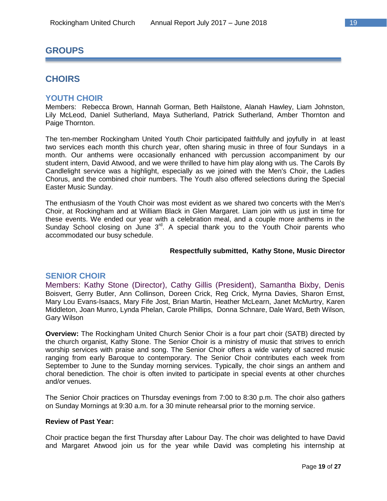# **GROUPS**

# **CHOIRS**

# **YOUTH CHOIR**

Members: Rebecca Brown, Hannah Gorman, Beth Hailstone, Alanah Hawley, Liam Johnston, Lily McLeod, Daniel Sutherland, Maya Sutherland, Patrick Sutherland, Amber Thornton and Paige Thornton.

The ten-member Rockingham United Youth Choir participated faithfully and joyfully in at least two services each month this church year, often sharing music in three of four Sundays in a month. Our anthems were occasionally enhanced with percussion accompaniment by our student intern, David Atwood, and we were thrilled to have him play along with us. The Carols By Candlelight service was a highlight, especially as we joined with the Men's Choir, the Ladies Chorus, and the combined choir numbers. The Youth also offered selections during the Special Easter Music Sunday.

The enthusiasm of the Youth Choir was most evident as we shared two concerts with the Men's Choir, at Rockingham and at William Black in Glen Margaret. Liam join with us just in time for these events. We ended our year with a celebration meal, and a couple more anthems in the Sunday School closing on June  $3<sup>rd</sup>$ . A special thank you to the Youth Choir parents who accommodated our busy schedule.

#### **Respectfully submitted, Kathy Stone, Music Director**

# **SENIOR CHOIR**

Members: Kathy Stone (Director), Cathy Gillis (President), Samantha Bixby, Denis Boisvert, Gerry Butler, Ann Collinson, Doreen Crick, Reg Crick, Myrna Davies, Sharon Ernst, Mary Lou Evans-Isaacs, Mary Fife Jost, Brian Martin, Heather McLearn, Janet McMurtry, Karen Middleton, Joan Munro, Lynda Phelan, Carole Phillips, Donna Schnare, Dale Ward, Beth Wilson, Gary Wilson

**Overview:** The Rockingham United Church Senior Choir is a four part choir (SATB) directed by the church organist, Kathy Stone. The Senior Choir is a ministry of music that strives to enrich worship services with praise and song. The Senior Choir offers a wide variety of sacred music ranging from early Baroque to contemporary. The Senior Choir contributes each week from September to June to the Sunday morning services. Typically, the choir sings an anthem and choral benediction. The choir is often invited to participate in special events at other churches and/or venues.

The Senior Choir practices on Thursday evenings from 7:00 to 8:30 p.m. The choir also gathers on Sunday Mornings at 9:30 a.m. for a 30 minute rehearsal prior to the morning service.

#### **Review of Past Year:**

Choir practice began the first Thursday after Labour Day. The choir was delighted to have David and Margaret Atwood join us for the year while David was completing his internship at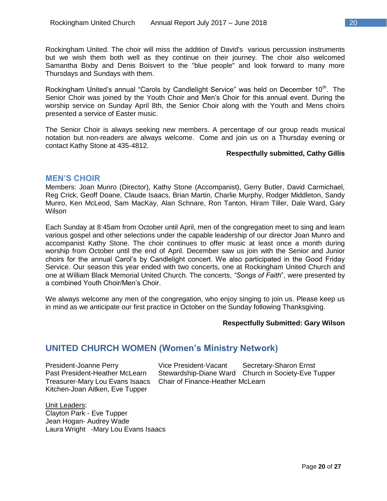Rockingham United. The choir will miss the addition of David's various percussion instruments but we wish them both well as they continue on their journey. The choir also welcomed Samantha Bixby and Denis Boisvert to the "blue people" and look forward to many more Thursdays and Sundays with them.

Rockingham United's annual "Carols by Candlelight Service" was held on December 10<sup>th</sup>. The Senior Choir was joined by the Youth Choir and Men's Choir for this annual event. During the worship service on Sunday April 8th, the Senior Choir along with the Youth and Mens choirs presented a service of Easter music.

The Senior Choir is always seeking new members. A percentage of our group reads musical notation but non-readers are always welcome. Come and join us on a Thursday evening or contact Kathy Stone at 435-4812.

#### **Respectfully submitted, Cathy Gillis**

## **MEN'S CHOIR**

Members: Joan Munro (Director), Kathy Stone (Accompanist), Gerry Butler, David Carmichael, Reg Crick, Geoff Doane, Claude Isaacs, Brian Martin, Charlie Murphy, Rodger Middleton, Sandy Munro, Ken McLeod, Sam MacKay, Alan Schnare, Ron Tanton, Hiram Tiller, Dale Ward, Gary Wilson

Each Sunday at 8:45am from October until April, men of the congregation meet to sing and learn various gospel and other selections under the capable leadership of our director Joan Munro and accompanist Kathy Stone. The choir continues to offer music at least once a month during worship from October until the end of April. December saw us join with the Senior and Junior choirs for the annual Carol's by Candlelight concert. We also participated in the Good Friday Service. Our season this year ended with two concerts, one at Rockingham United Church and one at William Black Memorial United Church. The concerts, *"Songs of Faith*", were presented by a combined Youth Choir/Men's Choir.

We always welcome any men of the congregation, who enjoy singing to join us. Please keep us in mind as we anticipate our first practice in October on the Sunday following Thanksgiving.

#### **Respectfully Submitted: Gary Wilson**

# **UNITED CHURCH WOMEN (Women's Ministry Network)**

Kitchen-Joan Aitken, Eve Tupper

President-Joanne Perry Vice President-Vacant Secretary-Sharon Ernst Past President-Heather McLearn Stewardship-Diane Ward Church in Society-Eve Tupper Treasurer-Mary Lou Evans Isaacs Chair of Finance-Heather McLearn

Unit Leaders: Clayton Park - Eve Tupper Jean Hogan- Audrey Wade Laura Wright -Mary Lou Evans Isaacs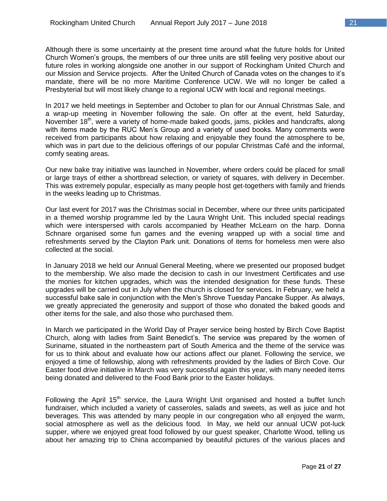Although there is some uncertainty at the present time around what the future holds for United Church Women's groups, the members of our three units are still feeling very positive about our future roles in working alongside one another in our support of Rockingham United Church and our Mission and Service projects. After the United Church of Canada votes on the changes to it's mandate, there will be no more Maritime Conference UCW. We will no longer be called a Presbyterial but will most likely change to a regional UCW with local and regional meetings.

In 2017 we held meetings in September and October to plan for our Annual Christmas Sale, and a wrap-up meeting in November following the sale. On offer at the event, held Saturday, November  $18<sup>th</sup>$ , were a variety of home-made baked goods, jams, pickles and handcrafts, along with items made by the RUC Men's Group and a variety of used books. Many comments were received from participants about how relaxing and enjoyable they found the atmosphere to be, which was in part due to the delicious offerings of our popular Christmas Café and the informal, comfy seating areas.

Our new bake tray initiative was launched in November, where orders could be placed for small or large trays of either a shortbread selection, or variety of squares, with delivery in December. This was extremely popular, especially as many people host get-togethers with family and friends in the weeks leading up to Christmas.

Our last event for 2017 was the Christmas social in December, where our three units participated in a themed worship programme led by the Laura Wright Unit. This included special readings which were interspersed with carols accompanied by Heather McLearn on the harp. Donna Schnare organised some fun games and the evening wrapped up with a social time and refreshments served by the Clayton Park unit. Donations of items for homeless men were also collected at the social.

In January 2018 we held our Annual General Meeting, where we presented our proposed budget to the membership. We also made the decision to cash in our Investment Certificates and use the monies for kitchen upgrades, which was the intended designation for these funds. These upgrades will be carried out in July when the church is closed for services. In February, we held a successful bake sale in conjunction with the Men's Shrove Tuesday Pancake Supper. As always, we greatly appreciated the generosity and support of those who donated the baked goods and other items for the sale, and also those who purchased them.

In March we participated in the World Day of Prayer service being hosted by Birch Cove Baptist Church, along with ladies from Saint Benedict's. The service was prepared by the women of Suriname, situated in the northeastern part of South America and the theme of the service was for us to think about and evaluate how our actions affect our planet. Following the service, we enjoyed a time of fellowship, along with refreshments provided by the ladies of Birch Cove. Our Easter food drive initiative in March was very successful again this year, with many needed items being donated and delivered to the Food Bank prior to the Easter holidays.

Following the April 15<sup>th</sup> service, the Laura Wright Unit organised and hosted a buffet lunch fundraiser, which included a variety of casseroles, salads and sweets, as well as juice and hot beverages. This was attended by many people in our congregation who all enjoyed the warm, social atmosphere as well as the delicious food. In May, we held our annual UCW pot-luck supper, where we enjoyed great food followed by our guest speaker, Charlotte Wood, telling us about her amazing trip to China accompanied by beautiful pictures of the various places and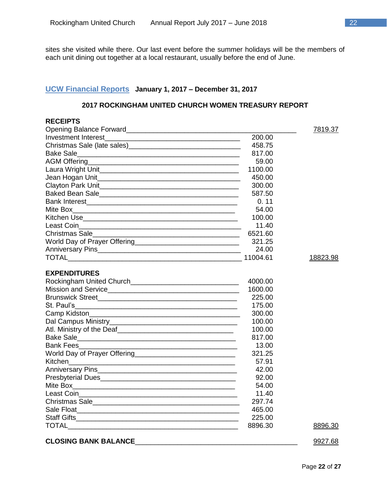sites she visited while there. Our last event before the summer holidays will be the members of each unit dining out together at a local restaurant, usually before the end of June.

## **UCW Financial Reports January 1, 2017 – December 31, 2017**

# **2017 ROCKINGHAM UNITED CHURCH WOMEN TREASURY REPORT**

## **RECEIPTS**

|                                                                                                                                                                                                                                      |         | 7819.37  |
|--------------------------------------------------------------------------------------------------------------------------------------------------------------------------------------------------------------------------------------|---------|----------|
|                                                                                                                                                                                                                                      | 200.00  |          |
|                                                                                                                                                                                                                                      | 458.75  |          |
|                                                                                                                                                                                                                                      | 817.00  |          |
|                                                                                                                                                                                                                                      | 59.00   |          |
|                                                                                                                                                                                                                                      | 1100.00 |          |
|                                                                                                                                                                                                                                      | 450.00  |          |
|                                                                                                                                                                                                                                      | 300.00  |          |
|                                                                                                                                                                                                                                      | 587.50  |          |
|                                                                                                                                                                                                                                      | 0.11    |          |
|                                                                                                                                                                                                                                      | 54.00   |          |
|                                                                                                                                                                                                                                      | 100.00  |          |
|                                                                                                                                                                                                                                      | 11.40   |          |
|                                                                                                                                                                                                                                      | 6521.60 |          |
|                                                                                                                                                                                                                                      | 321.25  |          |
| Anniversary Pins                                                                                                                                                                                                                     | 24.00   |          |
|                                                                                                                                                                                                                                      |         | 18823.98 |
| <b>EXPENDITURES</b>                                                                                                                                                                                                                  |         |          |
|                                                                                                                                                                                                                                      | 4000.00 |          |
|                                                                                                                                                                                                                                      | 1600.00 |          |
|                                                                                                                                                                                                                                      | 225.00  |          |
| St. Paul's<br><u> 1989 - Johann John Stone, mars eta bainar eta mondo eta mondo eta mondo eta mondo eta mondo eta mondo eta mo</u>                                                                                                   | 175.00  |          |
|                                                                                                                                                                                                                                      | 300.00  |          |
|                                                                                                                                                                                                                                      | 100.00  |          |
|                                                                                                                                                                                                                                      | 100.00  |          |
|                                                                                                                                                                                                                                      | 817.00  |          |
| Bank Fees<br><u> 1989 - Johann Harry Harry Harry Harry Harry Harry Harry Harry Harry Harry Harry Harry Harry Harry Harry Harry</u>                                                                                                   | 13.00   |          |
|                                                                                                                                                                                                                                      | 321.25  |          |
|                                                                                                                                                                                                                                      | 57.91   |          |
| Anniversary Pins                                                                                                                                                                                                                     | 42.00   |          |
|                                                                                                                                                                                                                                      | 92.00   |          |
|                                                                                                                                                                                                                                      | 54.00   |          |
| Least Coin <b>contract of the contract of the contract of the contract of the contract of the contract of the contract of the contract of the contract of the contract of the contract of the contract of the contract of the co</b> | 11.40   |          |
|                                                                                                                                                                                                                                      | 297.74  |          |
|                                                                                                                                                                                                                                      | 465.00  |          |
|                                                                                                                                                                                                                                      | 225.00  |          |
| TOTAL TOTAL                                                                                                                                                                                                                          | 8896.30 | 8896.30  |
| <b>CLOSING BANK BALANCE</b>                                                                                                                                                                                                          |         | 9927.68  |
|                                                                                                                                                                                                                                      |         |          |

Page **22** of **27**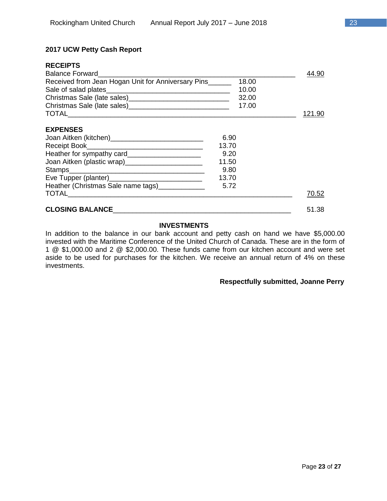# **2017 UCW Petty Cash Report**

| <b>RECEIPTS</b>                                    |       |        |
|----------------------------------------------------|-------|--------|
| Balance Forward <b>Exercise 2018</b>               |       | 44.90  |
| Received from Jean Hogan Unit for Anniversary Pins | 18.00 |        |
|                                                    | 10.00 |        |
|                                                    | 32.00 |        |
|                                                    | 17.00 |        |
|                                                    |       | 121.90 |
|                                                    |       |        |
| <b>EXPENSES</b>                                    |       |        |
|                                                    | 6.90  |        |
|                                                    | 13.70 |        |
| Heather for sympathy card_____________________     | 9.20  |        |
| Joan Aitken (plastic wrap)______________________   | 11.50 |        |
|                                                    | 9.80  |        |
|                                                    | 13.70 |        |
| Heather (Christmas Sale name tags)                 | 5.72  |        |
|                                                    |       | 70.52  |
| <b>CLOSING BALANCE</b>                             |       | 51.38  |

## **INVESTMENTS**

In addition to the balance in our bank account and petty cash on hand we have \$5,000.00 invested with the Maritime Conference of the United Church of Canada. These are in the form of 1 @ \$1,000.00 and 2 @ \$2,000.00. These funds came from our kitchen account and were set aside to be used for purchases for the kitchen. We receive an annual return of 4% on these investments.

## **Respectfully submitted, Joanne Perry**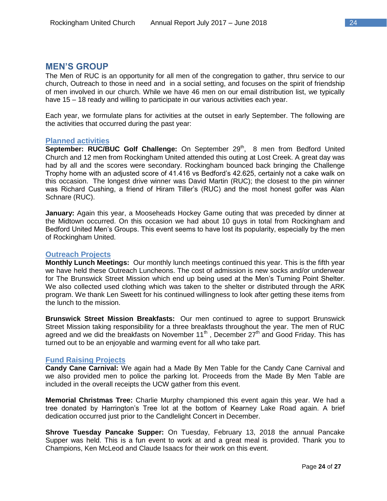# **MEN'S GROUP**

The Men of RUC is an opportunity for all men of the congregation to gather, thru service to our church, Outreach to those in need and in a social setting, and focuses on the spirit of friendship of men involved in our church. While we have 46 men on our email distribution list, we typically have 15 – 18 ready and willing to participate in our various activities each year.

Each year, we formulate plans for activities at the outset in early September. The following are the activities that occurred during the past year:

#### **Planned activities**

September: RUC/BUC Golf Challenge: On September 29<sup>th</sup>, 8 men from Bedford United Church and 12 men from Rockingham United attended this outing at Lost Creek. A great day was had by all and the scores were secondary. Rockingham bounced back bringing the Challenge Trophy home with an adjusted score of 41.416 vs Bedford's 42.625, certainly not a cake walk on this occasion. The longest drive winner was David Martin (RUC); the closest to the pin winner was Richard Cushing, a friend of Hiram Tiller's (RUC) and the most honest golfer was Alan Schnare (RUC).

**January:** Again this year, a Mooseheads Hockey Game outing that was preceded by dinner at the Midtown occurred. On this occasion we had about 10 guys in total from Rockingham and Bedford United Men's Groups. This event seems to have lost its popularity, especially by the men of Rockingham United.

#### **Outreach Projects**

**Monthly Lunch Meetings:** Our monthly lunch meetings continued this year. This is the fifth year we have held these Outreach Luncheons. The cost of admission is new socks and/or underwear for The Brunswick Street Mission which end up being used at the Men's Turning Point Shelter. We also collected used clothing which was taken to the shelter or distributed through the ARK program. We thank Len Sweett for his continued willingness to look after getting these items from the lunch to the mission.

**Brunswick Street Mission Breakfasts:** Our men continued to agree to support Brunswick Street Mission taking responsibility for a three breakfasts throughout the year. The men of RUC agreed and we did the breakfasts on November 11<sup>th</sup>, December 27<sup>th</sup> and Good Friday. This has turned out to be an enjoyable and warming event for all who take part.

#### **Fund Raising Projects**

**Candy Cane Carnival:** We again had a Made By Men Table for the Candy Cane Carnival and we also provided men to police the parking lot. Proceeds from the Made By Men Table are included in the overall receipts the UCW gather from this event.

**Memorial Christmas Tree:** Charlie Murphy championed this event again this year. We had a tree donated by Harrington's Tree lot at the bottom of Kearney Lake Road again. A brief dedication occurred just prior to the Candlelight Concert in December.

**Shrove Tuesday Pancake Supper:** On Tuesday, February 13, 2018 the annual Pancake Supper was held. This is a fun event to work at and a great meal is provided. Thank you to Champions, Ken McLeod and Claude Isaacs for their work on this event.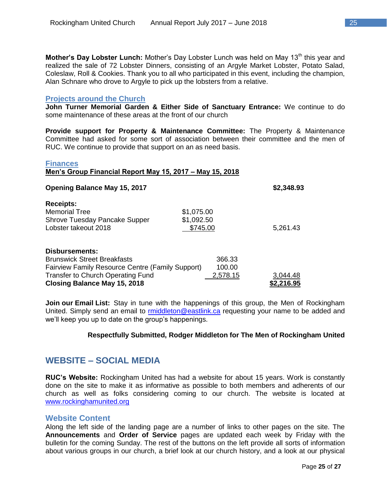**Mother's Day Lobster Lunch:** Mother's Day Lobster Lunch was held on May 13<sup>th</sup> this year and realized the sale of 72 Lobster Dinners, consisting of an Argyle Market Lobster, Potato Salad, Coleslaw, Roll & Cookies. Thank you to all who participated in this event, including the champion, Alan Schnare who drove to Argyle to pick up the lobsters from a relative.

## **Projects around the Church**

**John Turner Memorial Garden & Either Side of Sanctuary Entrance:** We continue to do some maintenance of these areas at the front of our church

**Provide support for Property & Maintenance Committee:** The Property & Maintenance Committee had asked for some sort of association between their committee and the men of RUC. We continue to provide that support on an as need basis.

## **Finances Men's Group Financial Report May 15, 2017 – May 15, 2018**

| <b>Opening Balance May 15, 2017</b>                     |            | \$2,348.93 |
|---------------------------------------------------------|------------|------------|
| <b>Receipts:</b>                                        |            |            |
| <b>Memorial Tree</b>                                    | \$1,075.00 |            |
| Shrove Tuesday Pancake Supper                           | \$1,092.50 |            |
| Lobster takeout 2018                                    | \$745.00   | 5,261.43   |
| <b>Disbursements:</b>                                   |            |            |
| <b>Brunswick Street Breakfasts</b>                      | 366.33     |            |
| <b>Fairview Family Resource Centre (Family Support)</b> |            |            |
| <b>Transfer to Church Operating Fund</b>                | 2,578.15   | 3,044.48   |
| <b>Closing Balance May 15, 2018</b>                     |            | \$2,216.95 |

**Join our Email List:** Stay in tune with the happenings of this group, the Men of Rockingham United. Simply send an email to [rmiddleton@eastlink.ca](mailto:rmiddleton@eastlink.ca) requesting your name to be added and we'll keep you up to date on the group's happenings.

# **Respectfully Submitted, Rodger Middleton for The Men of Rockingham United**

# **WEBSITE – SOCIAL MEDIA**

**RUC's Website:** Rockingham United has had a website for about 15 years. Work is constantly done on the site to make it as informative as possible to both members and adherents of our church as well as folks considering coming to our church. The website is located at [www.rockinghamunited.org](http://www.rockinghamunited.org/)

## **Website Content**

Along the left side of the landing page are a number of links to other pages on the site. The **Announcements** and **Order of Service** pages are updated each week by Friday with the bulletin for the coming Sunday. The rest of the buttons on the left provide all sorts of information about various groups in our church, a brief look at our church history, and a look at our physical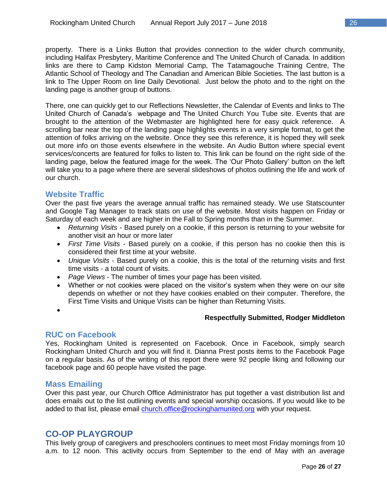property. There is a Links Button that provides connection to the wider church community, including Halifax Presbytery, Maritime Conference and The United Church of Canada. In addition links are there to Camp Kidston Memorial Camp, The Tatamagouche Training Centre, The Atlantic School of Theology and The Canadian and American Bible Societies. The last button is a link to The Upper Room on line Daily Devotional. Just below the photo and to the right on the landing page is another group of buttons.

There, one can quickly get to our Reflections Newsletter, the Calendar of Events and links to The United Church of Canada's webpage and The United Church You Tube site. Events that are brought to the attention of the Webmaster are highlighted here for easy quick reference. A scrolling bar near the top of the landing page highlights events in a very simple format, to get the attention of folks arriving on the website. Once they see this reference, it is hoped they will seek out more info on those events elsewhere in the website. An Audio Button where special event services/concerts are featured for folks to listen to. This link can be found on the right side of the landing page, below the featured image for the week. The 'Our Photo Gallery' button on the left will take you to a page where there are several slideshows of photos outlining the life and work of our church.

# **Website Traffic**

Over the past five years the average annual traffic has remained steady. We use Statscounter and Google Tag Manager to track stats on use of the website. Most visits happen on Friday or Saturday of each week and are higher in the Fall to Spring months than in the Summer.

- *Returning Visits* Based purely on a cookie, if this person is returning to your website for another visit an hour or more later
- *First Time Visits* Based purely on a cookie, if this person has no cookie then this is considered their first time at your website.
- *Unique Visits* Based purely on a cookie, this is the total of the returning visits and first time visits - a total count of visits.
- *Page Views* The number of times your page has been visited.
- Whether or not cookies were placed on the visitor's system when they were on our site depends on whether or not they have cookies enabled on their computer. Therefore, the First Time Visits and Unique Visits can be higher than Returning Visits.
- $\bullet$

# **Respectfully Submitted, Rodger Middleton**

# **RUC on Facebook**

Yes, Rockingham United is represented on Facebook. Once in Facebook, simply search Rockingham United Church and you will find it. Dianna Prest posts items to the Facebook Page on a regular basis. As of the writing of this report there were 92 people liking and following our facebook page and 60 people have visited the page.

# **Mass Emailing**

Over this past year, our Church Office Administrator has put together a vast distribution list and does emails out to the list outlining events and special worship occasions. If you would like to be added to that list, please email [church.office@rockinghamunited.org](mailto:church.office@rockinghamunited.org) with your request.

# **CO-OP PLAYGROUP**

This lively group of caregivers and preschoolers continues to meet most Friday mornings from 10 a.m. to 12 noon. This activity occurs from September to the end of May with an average